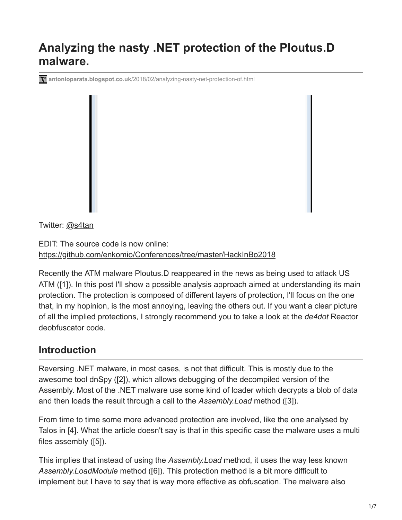# **Analyzing the nasty .NET protection of the Ploutus.D malware.**

**<b>The antonioparata.blogspot.co.uk**[/2018/02/analyzing-nasty-net-protection-of.html](http://antonioparata.blogspot.co.uk/2018/02/analyzing-nasty-net-protection-of.html)

Twitter: [@s4tan](https://twitter.com/s4tan)

EDIT: The source code is now online: <https://github.com/enkomio/Conferences/tree/master/HackInBo2018>

Recently the ATM malware Ploutus.D reappeared in the news as being used to attack US ATM ([1]). In this post I'll show a possible analysis approach aimed at understanding its main protection. The protection is composed of different layers of protection, I'll focus on the one that, in my hopinion, is the most annoying, leaving the others out. If you want a clear picture of all the implied protections, I strongly recommend you to take a look at the *de4dot* Reactor deobfuscator code.

## **Introduction**

Reversing .NET malware, in most cases, is not that difficult. This is mostly due to the awesome tool dnSpy ([2]), which allows debugging of the decompiled version of the Assembly. Most of the .NET malware use some kind of loader which decrypts a blob of data and then loads the result through a call to the *Assembly.Load* method ([3]).

From time to time some more advanced protection are involved, like the one analysed by Talos in [4]. What the article doesn't say is that in this specific case the malware uses a multi files assembly ([5]).

This implies that instead of using the *Assembly.Load* method, it uses the way less known *Assembly.LoadModule* method ([6]). This protection method is a bit more difficult to implement but I have to say that is way more effective as obfuscation. The malware also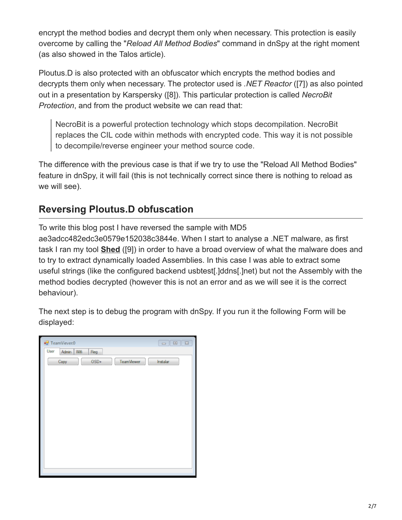encrypt the method bodies and decrypt them only when necessary. This protection is easily overcome by calling the "*Reload All Method Bodies*" command in dnSpy at the right moment (as also showed in the Talos article).

Ploutus.D is also protected with an obfuscator which encrypts the method bodies and decrypts them only when necessary. The protector used is *.NET Reactor* ([7]) as also pointed out in a presentation by Karspersky ([8]). This particular protection is called *NecroBit Protection*, and from the product website we can read that:

NecroBit is a powerful protection technology which stops decompilation. NecroBit replaces the CIL code within methods with encrypted code. This way it is not possible to decompile/reverse engineer your method source code.

The difference with the previous case is that if we try to use the "Reload All Method Bodies" feature in dnSpy, it will fail (this is not technically correct since there is nothing to reload as we will see).

## **Reversing Ploutus.D obfuscation**

To write this blog post I have reversed the sample with MD5 ae3adcc482edc3e0579e152038c3844e. When I start to analyse a .NET malware, as first task I ran my tool **[Shed](https://github.com/enkomio/shed)** ([9]) in order to have a broad overview of what the malware does and to try to extract dynamically loaded Assemblies. In this case I was able to extract some useful strings (like the configured backend usbtest[.]ddns[.]net) but not the Assembly with the method bodies decrypted (however this is not an error and as we will see it is the correct behaviour).

The next step is to debug the program with dnSpy. If you run it the following Form will be displayed:

| <sup>a</sup> TeamViever:0   |            | $\begin{array}{ c c c c c }\hline \multicolumn{3}{ c }{\textbf{a}} & \multicolumn{3}{ c }{\textbf{a}} & \multicolumn{3}{ c }{\textbf{a}}\\ \hline \multicolumn{3}{ c }{\textbf{b}} & \multicolumn{3}{ c }{\textbf{b}} & \multicolumn{3}{ c }{\textbf{b}} & \multicolumn{3}{ c }{\textbf{b}}\\ \hline \multicolumn{3}{ c }{\textbf{b}} & \multicolumn{3}{ c }{\textbf{b}} & \multicolumn{3}{ c }{\textbf{b}} & \multicolumn{3}{ c }{\textbf{$ |
|-----------------------------|------------|----------------------------------------------------------------------------------------------------------------------------------------------------------------------------------------------------------------------------------------------------------------------------------------------------------------------------------------------------------------------------------------------------------------------------------------------|
| User<br>Wfi<br>Admin<br>Reg |            |                                                                                                                                                                                                                                                                                                                                                                                                                                              |
| $OSD+$<br>Copy              | TeamViewer | Instalar                                                                                                                                                                                                                                                                                                                                                                                                                                     |
|                             |            |                                                                                                                                                                                                                                                                                                                                                                                                                                              |
|                             |            |                                                                                                                                                                                                                                                                                                                                                                                                                                              |
|                             |            |                                                                                                                                                                                                                                                                                                                                                                                                                                              |
|                             |            |                                                                                                                                                                                                                                                                                                                                                                                                                                              |
|                             |            |                                                                                                                                                                                                                                                                                                                                                                                                                                              |
|                             |            |                                                                                                                                                                                                                                                                                                                                                                                                                                              |
|                             |            |                                                                                                                                                                                                                                                                                                                                                                                                                                              |
|                             |            |                                                                                                                                                                                                                                                                                                                                                                                                                                              |
|                             |            |                                                                                                                                                                                                                                                                                                                                                                                                                                              |
|                             |            |                                                                                                                                                                                                                                                                                                                                                                                                                                              |
|                             |            |                                                                                                                                                                                                                                                                                                                                                                                                                                              |
|                             |            |                                                                                                                                                                                                                                                                                                                                                                                                                                              |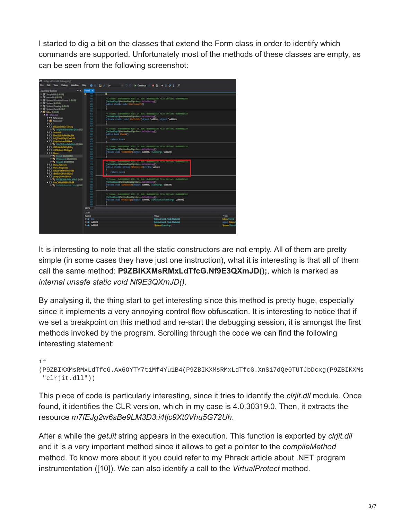I started to dig a bit on the classes that extend the Form class in order to identify which commands are supported. Unfortunately most of the methods of these classes are empty, as can be seen from the following screenshot:



It is interesting to note that all the static constructors are not empty. All of them are pretty simple (in some cases they have just one instruction), what it is interesting is that all of them call the same method: **P9ZBIKXMsRMxLdTfcG.Nf9E3QXmJD();**, which is marked as *internal unsafe static void Nf9E3QXmJD()*.

By analysing it, the thing start to get interesting since this method is pretty huge, especially since it implements a very annoying control flow obfuscation. It is interesting to notice that if we set a breakpoint on this method and re-start the debugging session, it is amongst the first methods invoked by the program. Scrolling through the code we can find the following interesting statement:

#### if

(P9ZBIKXMsRMxLdTfcG.Ax6OYTY7tiMf4Yu1B4(P9ZBIKXMsRMxLdTfcG.XnSi7dQe0TUTJbDcxg(P9ZBIKXMs "clrjit.dll"))

This piece of code is particularly interesting, since it tries to identify the *clrjit.dll* module. Once found, it identifies the CLR version, which in my case is 4.0.30319.0. Then, it extracts the resource *m7fEJg2w6sBe9LM3D3.i4tjc9Xt0Vhu5G72Uh*.

After a while the *getJit* string appears in the execution. This function is exported by *clrjit.dll* and it is a very important method since it allows to get a pointer to the *compileMethod* method. To know more about it you could refer to my Phrack article about .NET program instrumentation ([10]). We can also identify a call to the *VirtualProtect* method.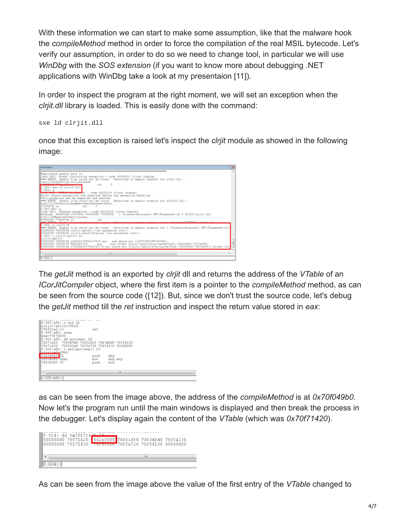With these information we can start to make some assumption, like that the malware hook the *compileMethod* method in order to force the compilation of the real MSIL bytecode. Let's verify our assumption, in order to do so we need to change tool, in particular we will use *WinDbg* with the *SOS extension* (if you want to know more about debugging .NET applications with WinDbg take a look at my presentaion [11]).

In order to inspect the program at the right moment, we will set an exception when the *clrjit.dll* library is loaded. This is easily done with the command:

sxe ld clrjit.dll

once that this exception is raised let's inspect the *clrjit* module as showed in the following image:



The *getJit* method is an exported by *clrjit* dll and returns the address of the *VTable* of an *ICorJitCompiler* object, where the first item is a pointer to the *compileMethod* method, as can be seen from the source code ([12]). But, since we don't trust the source code, let's debug the *getJit* method till the *ret* instruction and inspect the return value stored in *eax*:



as can be seen from the image above, the address of the *compileMethod* is at *0x70f049b0*. Now let's the program run until the main windows is displayed and then break the process in the debugger. Let's display again the content of the *VTable* (which was *0x70f71420*).

| $0:014$ dd $0x70f7142070$<br>00000000'70f71420 002a0000 70f018f0 70f3d0d0 70f54130<br>00000000 70f71430 70150100 70f5a720 70f54130 00000000 |  |  |
|---------------------------------------------------------------------------------------------------------------------------------------------|--|--|
|                                                                                                                                             |  |  |
| 0:014                                                                                                                                       |  |  |

As can be seen from the image above the value of the first entry of the *VTable* changed to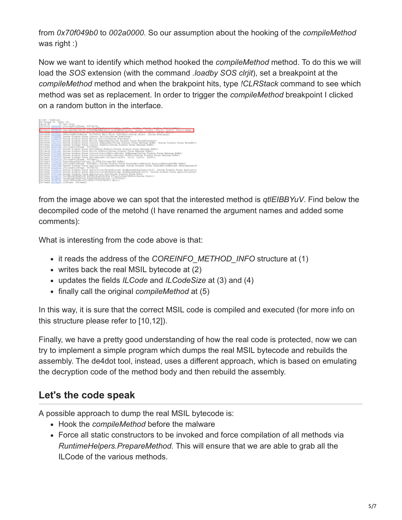from *0x70f049b0* to *002a0000*. So our assumption about the hooking of the *compileMethod* was right :)

Now we want to identify which method hooked the *compileMethod* method. To do this we will load the *SOS* extension (with the command *.loadby SOS clrjit*), set a breakpoint at the *compileMethod* method and when the brakpoint hits, type *!CLRStack* command to see which method was set as replacement. In order to trigger the *compileMethod* breakpoint I clicked on a random button in the interface.



from the image above we can spot that the interested method is *qtlEIBBYuV*. Find below the decompiled code of the metohd (I have renamed the argument names and added some comments):

What is interesting from the code above is that:

- it reads the address of the *COREINFO\_METHOD\_INFO* structure at (1)
- writes back the real MSIL bytecode at (2)
- updates the fields *ILCode* and *ILCodeSize* at (3) and (4)
- finally call the original *compileMethod* at (5)

In this way, it is sure that the correct MSIL code is compiled and executed (for more info on this structure please refer to [10,12]).

Finally, we have a pretty good understanding of how the real code is protected, now we can try to implement a simple program which dumps the real MSIL bytecode and rebuilds the assembly. The de4dot tool, instead, uses a different approach, which is based on emulating the decryption code of the method body and then rebuild the assembly.

## **Let's the code speak**

A possible approach to dump the real MSIL bytecode is:

- Hook the *compileMethod* before the malware
- Force all static constructors to be invoked and force compilation of all methods via *RuntimeHelpers.PrepareMethod*. This will ensure that we are able to grab all the ILCode of the various methods.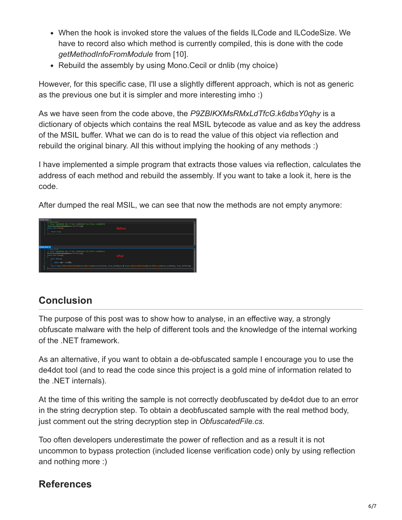- When the hook is invoked store the values of the fields ILCode and ILCodeSize. We have to record also which method is currently compiled, this is done with the code *getMethodInfoFromModule* from [10].
- Rebuild the assembly by using Mono. Cecil or dnlib (my choice)

However, for this specific case, I'll use a slightly different approach, which is not as generic as the previous one but it is simpler and more interesting imho :)

As we have seen from the code above, the *P9ZBIKXMsRMxLdTfcG.k6dbsY0qhy* is a dictionary of objects which contains the real MSIL bytecode as value and as key the address of the MSIL buffer. What we can do is to read the value of this object via reflection and rebuild the original binary. All this without implying the hooking of any methods :)

I have implemented a simple program that extracts those values via reflection, calculates the address of each method and rebuild the assembly. If you want to take a look it, here is the code.

After dumped the real MSIL, we can see that now the methods are not empty anymore:

| Charles Hard<br>(a) Falls (PRayers Submitted Co.<br><b>Color Ave., In a</b><br>(control permeterized and control<br>mata: and George<br>return truss            | <b>STATISTICS</b> |  |
|-----------------------------------------------------------------------------------------------------------------------------------------------------------------|-------------------|--|
| <b>Charles Avenue Inc.</b><br><b>A. All Productions</b>                                                                                                         |                   |  |
| EXERCISE KID, 74 KA, CHRONIAN AZA STRAT, EUROKZIA<br><b>Weight Directly Service</b> In Film (2)<br>anda leed Oashill<br>olds Pelos<br><b>HONTAGE - HARDER</b>   |                   |  |
| myService (Hilmographenic Scurch) (2), Formi constituted in Tormic Childrenic China (Editor conditional constitution), Tormic and Adolf Chi<br>return Ferminals |                   |  |

## **Conclusion**

The purpose of this post was to show how to analyse, in an effective way, a strongly obfuscate malware with the help of different tools and the knowledge of the internal working of the .NET framework.

As an alternative, if you want to obtain a de-obfuscated sample I encourage you to use the de4dot tool (and to read the code since this project is a gold mine of information related to the .NET internals).

At the time of this writing the sample is not correctly deobfuscated by de4dot due to an error in the string decryption step. To obtain a deobfuscated sample with the real method body, just comment out the string decryption step in *ObfuscatedFile.cs*.

Too often developers underestimate the power of reflection and as a result it is not uncommon to bypass protection (included license verification code) only by using reflection and nothing more :)

## **References**